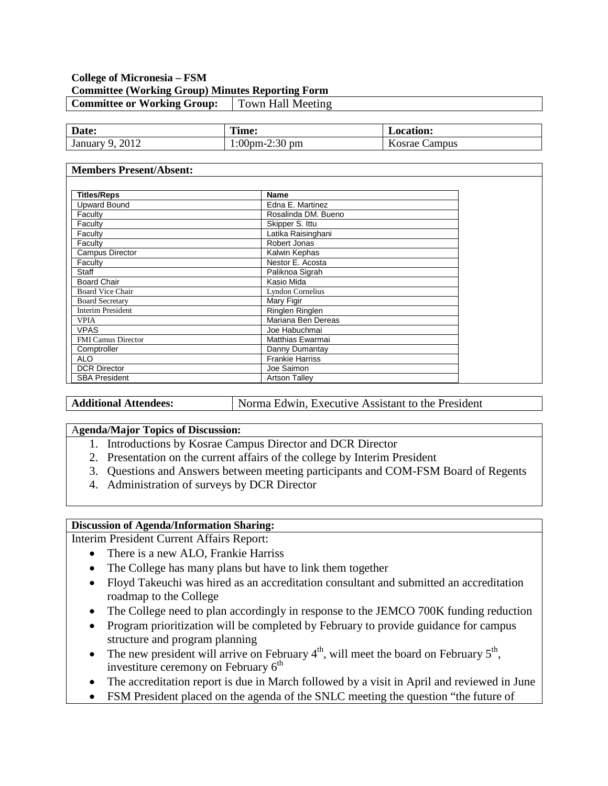### **College of Micronesia – FSM Committee (Working Group) Minutes Reporting Form Committee or Working Group:** Town Hall Meeting

| Date:             | l'ime:        | <b>Location:</b> |
|-------------------|---------------|------------------|
| 2012<br>January 9 | :00pm-2:30 pm | Campus<br>Kosrae |

#### **Members Present/Absent:**

| <b>Titles/Reps</b>        | Name                    |  |
|---------------------------|-------------------------|--|
| <b>Upward Bound</b>       | Edna E. Martinez        |  |
| Faculty                   | Rosalinda DM, Bueno     |  |
| Faculty                   | Skipper S. Ittu         |  |
| Faculty                   | Latika Raisinghani      |  |
| Faculty                   | Robert Jonas            |  |
| Campus Director           | Kalwin Kephas           |  |
| Faculty                   | Nestor E. Acosta        |  |
| Staff                     | Paliknoa Sigrah         |  |
| <b>Board Chair</b>        | Kasio Mida              |  |
| <b>Board Vice Chair</b>   | <b>Lyndon Cornelius</b> |  |
| <b>Board Secretary</b>    | Mary Figir              |  |
| <b>Interim President</b>  | Ringlen Ringlen         |  |
| <b>VPIA</b>               | Mariana Ben Dereas      |  |
| <b>VPAS</b>               | Joe Habuchmai           |  |
| <b>FMI Camus Director</b> | Matthias Ewarmai        |  |
| Comptroller               | Danny Dumantay          |  |
| ALO                       | <b>Frankie Harriss</b>  |  |
| <b>DCR Director</b>       | Joe Saimon              |  |
| <b>SBA President</b>      | <b>Artson Talley</b>    |  |

**Additional Attendees:** Norma Edwin, Executive Assistant to the President

#### A**genda/Major Topics of Discussion:**

- 1. Introductions by Kosrae Campus Director and DCR Director
- 2. Presentation on the current affairs of the college by Interim President
- 3. Questions and Answers between meeting participants and COM-FSM Board of Regents
- 4. Administration of surveys by DCR Director

#### **Discussion of Agenda/Information Sharing:**

Interim President Current Affairs Report:

- There is a new ALO, Frankie Harriss
- The College has many plans but have to link them together
- Floyd Takeuchi was hired as an accreditation consultant and submitted an accreditation roadmap to the College
- The College need to plan accordingly in response to the JEMCO 700K funding reduction
- Program prioritization will be completed by February to provide guidance for campus structure and program planning
- The new president will arrive on February  $4<sup>th</sup>$ , will meet the board on February  $5<sup>th</sup>$ , investiture ceremony on February  $6<sup>th</sup>$
- The accreditation report is due in March followed by a visit in April and reviewed in June
- FSM President placed on the agenda of the SNLC meeting the question "the future of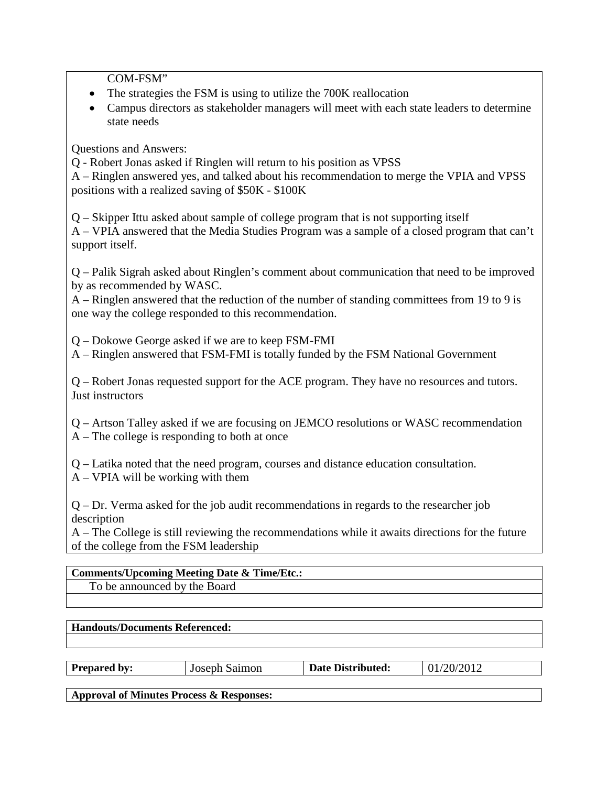COM-FSM"

- The strategies the FSM is using to utilize the 700K reallocation
- Campus directors as stakeholder managers will meet with each state leaders to determine state needs

Questions and Answers:

Q - Robert Jonas asked if Ringlen will return to his position as VPSS

A – Ringlen answered yes, and talked about his recommendation to merge the VPIA and VPSS positions with a realized saving of \$50K - \$100K

Q – Skipper Ittu asked about sample of college program that is not supporting itself A – VPIA answered that the Media Studies Program was a sample of a closed program that can't support itself.

Q – Palik Sigrah asked about Ringlen's comment about communication that need to be improved by as recommended by WASC.

A – Ringlen answered that the reduction of the number of standing committees from 19 to 9 is one way the college responded to this recommendation.

Q – Dokowe George asked if we are to keep FSM-FMI

A – Ringlen answered that FSM-FMI is totally funded by the FSM National Government

Q – Robert Jonas requested support for the ACE program. They have no resources and tutors. Just instructors

Q – Artson Talley asked if we are focusing on JEMCO resolutions or WASC recommendation A – The college is responding to both at once

Q – Latika noted that the need program, courses and distance education consultation.

A – VPIA will be working with them

Q – Dr. Verma asked for the job audit recommendations in regards to the researcher job description

A – The College is still reviewing the recommendations while it awaits directions for the future of the college from the FSM leadership

## **Comments/Upcoming Meeting Date & Time/Etc.:** To be announced by the Board

## **Handouts/Documents Referenced:**

|  | <b>Prepared by:</b> | Joseph Saimon | <b>Date Distributed:</b> | 01/20/2012 |
|--|---------------------|---------------|--------------------------|------------|
|--|---------------------|---------------|--------------------------|------------|

**Approval of Minutes Process & Responses:**